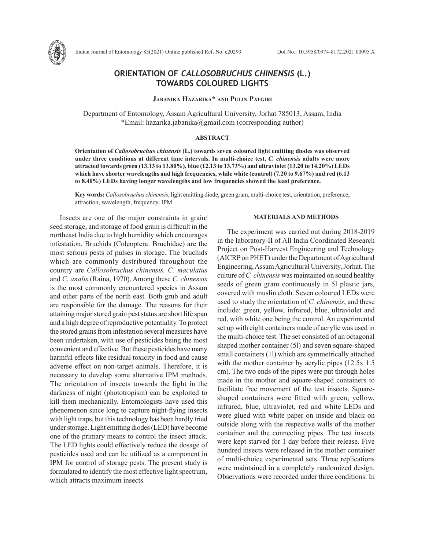

Indian Journal of Entomology 83(2021) Online published Ref. No. e20293 DoI No.: 10.5958/0974-8172.2021.00095.X

# **ORIENTATION OF** *CALLOSOBRUCHUS CHINENSIS* **(L.) TOWARDS COLOURED LIGHTS**

## **Jabanika Hazarika\* and Pulin Patgiri**

Department of Entomology, Assam Agricultural University, Jorhat 785013, Assam, India \*Email: hazarika.jabanika@gmail.com (corresponding author)

### **ABSTRACT**

**Orientation of** *Callosobruchus chinensis* **(L.) towards seven coloured light emitting diodes was observed under three conditions at different time intervals. In multi-choice test,** *C. chinensis* **adults were more attracted towards green (13.13 to 13.80%), blue (12.13 to 13.73%) and ultraviolet (13.20 to 14.20%) LEDs which have shorter wavelengths and high frequencies, while white (control) (7.20 to 9.67%) and red (6.13 to 8.40%) LEDs having longer wavelengths and low frequencies showed the least preference.**

**Key words:** *Callosobruchus chinensis*, light emitting diode, green gram, multi-choice test, orientation, preference, attraction, wavelength, frequency, IPM

Insects are one of the major constraints in grain/ seed storage, and storage of food grain is difficult in the northeast India due to high humidity which encourages infestation. Bruchids (Coleoptera: Bruchidae) are the most serious pests of pulses in storage. The bruchids which are commonly distributed throughout the country are *Callosobruchus chinensis, C. maculatus*  and *C. analis* (Raina, 1970). Among these *C. chinensis* is the most commonly encountered species in Assam and other parts of the north east. Both grub and adult are responsible for the damage. The reasons for their attaining major stored grain pest status are short life span and a high degree of reproductive potentiality. To protect the stored grains from infestation several measures have been undertaken, with use of pesticides being the most convenient and effective. But these pesticides have many harmful effects like residual toxicity in food and cause adverse effect on non-target animals. Therefore, it is necessary to develop some alternative IPM methods. The orientation of insects towards the light in the darkness of night (phototropism) can be exploited to kill them mechanically. Entomologists have used this phenomenon since long to capture night-flying insects with light traps, but this technology has been hardly tried under storage. Light emitting diodes (LED) have become one of the primary means to control the insect attack. The LED lights could effectively reduce the dosage of pesticides used and can be utilized as a component in IPM for control of storage pests. The present study is formulated to identify the most effective light spectrum, which attracts maximum insects.

## **MATERIALS AND METHODS**

The experiment was carried out during 2018-2019 in the laboratory-II of All India Coordinated Research Project on Post-Harvest Engineering and Technology (AICRP on PHET) under the Department of Agricultural Engineering, Assam Agricultural University, Jorhat. The culture of *C. chinensis* was maintained on sound healthy seeds of green gram continuously in 5l plastic jars, covered with muslin cloth. Seven coloured LEDs were used to study the orientation of *C. chinensis*, and these include: green, yellow, infrared, blue, ultraviolet and red, with white one being the control. An experimental set up with eight containers made of acrylic was used in the multi-choice test. The set consisted of an octagonal shaped mother container (5l) and seven square-shaped small containers (1l) which are symmetrically attached with the mother container by acrylic pipes  $(12.5x 1.5$ cm). The two ends of the pipes were put through holes made in the mother and square-shaped containers to facilitate free movement of the test insects. Squareshaped containers were fitted with green, yellow, infrared, blue, ultraviolet, red and white LEDs and were glued with white paper on inside and black on outside along with the respective walls of the mother container and the connecting pipes. The test insects were kept starved for 1 day before their release. Five hundred insects were released in the mother container of multi-choice experimental sets. Three replications were maintained in a completely randomized design. Observations were recorded under three conditions. In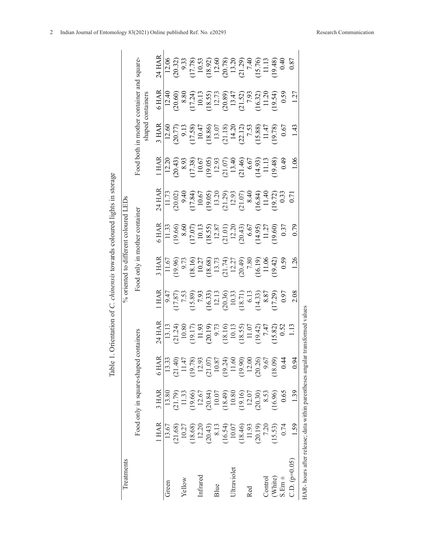| Treatments                                                |                   |                                                                                               |                                                                                               |                                                                                                                                                                                                                                                                                                     |                                                                                                                                                                                                                                                                                             | % oriented to different coloured LEDs                                                                                                                                                                                                                                                             |                                                                                                                                                                                                                                                                                                                             |                                                                                                                                                                                                                                               |                                                                                                                                                                                                                                                                                                                     |                                                                                                                       |                                                                                                                                                    |                                                                                                                                                                                                                                                                                              |
|-----------------------------------------------------------|-------------------|-----------------------------------------------------------------------------------------------|-----------------------------------------------------------------------------------------------|-----------------------------------------------------------------------------------------------------------------------------------------------------------------------------------------------------------------------------------------------------------------------------------------------------|---------------------------------------------------------------------------------------------------------------------------------------------------------------------------------------------------------------------------------------------------------------------------------------------|---------------------------------------------------------------------------------------------------------------------------------------------------------------------------------------------------------------------------------------------------------------------------------------------------|-----------------------------------------------------------------------------------------------------------------------------------------------------------------------------------------------------------------------------------------------------------------------------------------------------------------------------|-----------------------------------------------------------------------------------------------------------------------------------------------------------------------------------------------------------------------------------------------|---------------------------------------------------------------------------------------------------------------------------------------------------------------------------------------------------------------------------------------------------------------------------------------------------------------------|-----------------------------------------------------------------------------------------------------------------------|----------------------------------------------------------------------------------------------------------------------------------------------------|----------------------------------------------------------------------------------------------------------------------------------------------------------------------------------------------------------------------------------------------------------------------------------------------|
|                                                           |                   | Food only in square-shaped                                                                    |                                                                                               | containers                                                                                                                                                                                                                                                                                          |                                                                                                                                                                                                                                                                                             | Food only in mother container                                                                                                                                                                                                                                                                     |                                                                                                                                                                                                                                                                                                                             |                                                                                                                                                                                                                                               |                                                                                                                                                                                                                                                                                                                     | shaped containers                                                                                                     | Food both in mother container and square-                                                                                                          |                                                                                                                                                                                                                                                                                              |
|                                                           | 1 HAR             | 3 HAR                                                                                         | 6 HAF                                                                                         | 24 HAR                                                                                                                                                                                                                                                                                              | 1 HAR                                                                                                                                                                                                                                                                                       | 3 HAR                                                                                                                                                                                                                                                                                             | 5 HAR                                                                                                                                                                                                                                                                                                                       | 24 HAR                                                                                                                                                                                                                                        | <b>LHAR</b>                                                                                                                                                                                                                                                                                                         | 3 HAR                                                                                                                 | 5 HAR                                                                                                                                              | 24 HAR                                                                                                                                                                                                                                                                                       |
| Green                                                     | 13.67             | 13.80                                                                                         | 13.33                                                                                         |                                                                                                                                                                                                                                                                                                     |                                                                                                                                                                                                                                                                                             | 11.67                                                                                                                                                                                                                                                                                             | 11.33                                                                                                                                                                                                                                                                                                                       | 11.73                                                                                                                                                                                                                                         | 12.20                                                                                                                                                                                                                                                                                                               | $\frac{1}{12.60}$                                                                                                     | $\frac{1}{2.40}$                                                                                                                                   | 12.06                                                                                                                                                                                                                                                                                        |
|                                                           | (21.68)           | (61.79)                                                                                       | (21.40)                                                                                       |                                                                                                                                                                                                                                                                                                     |                                                                                                                                                                                                                                                                                             |                                                                                                                                                                                                                                                                                                   |                                                                                                                                                                                                                                                                                                                             |                                                                                                                                                                                                                                               |                                                                                                                                                                                                                                                                                                                     |                                                                                                                       | $(50.60)$<br>8.80                                                                                                                                  |                                                                                                                                                                                                                                                                                              |
| Yellow                                                    | 10.27             | 11.33                                                                                         | 11.47                                                                                         |                                                                                                                                                                                                                                                                                                     |                                                                                                                                                                                                                                                                                             |                                                                                                                                                                                                                                                                                                   | $\frac{19.66}{8.60}$                                                                                                                                                                                                                                                                                                        |                                                                                                                                                                                                                                               |                                                                                                                                                                                                                                                                                                                     |                                                                                                                       |                                                                                                                                                    |                                                                                                                                                                                                                                                                                              |
|                                                           | 18.68)            | 19.66)<br>12.67                                                                               | 19.78)<br>12.93                                                                               | $\begin{array}{l} 13.13 \\ 13.12 \\ 10.80 \\ 10.80 \\ 11.91 \\ 13.19 \\ 15.19 \\ 19.19 \\ 13.19 \\ 14.10 \\ 15.10 \\ 16.10 \\ 17.14 \\ 18.20 \\ 19.14 \\ 19.14 \\ 19.15 \\ 13.20 \\ 15.31 \\ 16.32 \\ 17.43 \\ 18.31 \\ 19.42 \\ 19.43 \\ 10.53 \\ 10.53 \\ 11.58 \\ 12.58 \\ 13.58 \\ 14.58 \\ 15$ | 9.47<br>17.87<br>17.89<br>18.99<br>18.99<br>17.29<br>18.87<br>17.29<br>20.17<br>20.37<br>17.29<br>20.17<br>20.37<br>20.37<br>20.37<br>20.37<br>20.37<br>20.37<br>20.37<br>20.37<br>20.37<br>20.37<br>20.37<br>20.37<br>20.37<br>20.38<br>20.38<br>20.38<br>20.38<br>20.38<br>20.38<br>20.38 | $\begin{array}{c} \n 9.9000 \\ \n 9.71000 \\ \n 1.11100 \\ \n 1.11100 \\ \n 1.11100 \\ \n 1.11100 \\ \n 1.11100 \\ \n 1.11100 \\ \n 1.11100 \\ \n 1.11100 \\ \n 1.11100 \\ \n 1.11100 \\ \n 1.11100 \\ \n 1.11100 \\ \n 1.11100 \\ \n 1.11100 \\ \n 1.11100 \\ \n 1.11100 \\ \n 1.11100 \\ \n 1.$ |                                                                                                                                                                                                                                                                                                                             | $(20.02)$<br>$(3.84)$<br>$(1.84)$<br>$(1.85)$<br>$(1.85)$<br>$(1.85)$<br>$(1.85)$<br>$(1.85)$<br>$(1.85)$<br>$(1.85)$<br>$(1.85)$<br>$(1.85)$<br>$(1.85)$<br>$(1.85)$<br>$(1.85)$<br>$(1.85)$<br>$(1.85)$<br>$(1.85)$<br>$(1.85)$<br>$(1.85)$ | $\begin{array}{l} \n 20.43 \\ \n 8.93 \\ \n 8.93 \\ \n 17.38 \\ \n 10.67 \\ \n 12.93 \\ \n 12.93 \\ \n 12.93 \\ \n 12.93 \\ \n 13.49 \\ \n 14.7 \\ \n 13.49 \\ \n 14.7 \\ \n 14.7 \\ \n 14.7 \\ \n 15.7 \\ \n 16.9 \\ \n 17.8 \\ \n 19.49 \\ \n 10.49 \\ \n 11.3 \\ \n 12.9 \\ \n 13.49 \\ \n 14.7 \\ \n 15.7 \\ \$ | 70.77<br>9.13<br>9.13,86<br>10.47<br>11.42<br>14.20.13<br>11.47<br>11.47<br>11.47<br>11.47<br>11.47<br>11.47<br>11.47 |                                                                                                                                                    | $\begin{array}{l} (20.32)\\ (20.33)\\ (17.78)\\ (17.78)\\ (20.81)\\ (20.79)\\ (20.79)\\ (20.79)\\ (20.79)\\ (20.79)\\ (20.79)\\ (20.79)\\ (20.79)\\ (20.79)\\ (20.79)\\ (20.79)\\ (20.79)\\ (20.79)\\ (20.79)\\ (20.79)\\ (20.79)\\ (20.79)\\ (20.79)\\ (20.79)\\ (20.79)\\ (20.79)\\ (20.7$ |
| Infrared                                                  | 12.20             |                                                                                               |                                                                                               |                                                                                                                                                                                                                                                                                                     |                                                                                                                                                                                                                                                                                             |                                                                                                                                                                                                                                                                                                   |                                                                                                                                                                                                                                                                                                                             |                                                                                                                                                                                                                                               |                                                                                                                                                                                                                                                                                                                     |                                                                                                                       |                                                                                                                                                    |                                                                                                                                                                                                                                                                                              |
|                                                           |                   |                                                                                               |                                                                                               |                                                                                                                                                                                                                                                                                                     |                                                                                                                                                                                                                                                                                             |                                                                                                                                                                                                                                                                                                   |                                                                                                                                                                                                                                                                                                                             |                                                                                                                                                                                                                                               |                                                                                                                                                                                                                                                                                                                     |                                                                                                                       |                                                                                                                                                    |                                                                                                                                                                                                                                                                                              |
| Blue                                                      | $(20.43)$<br>8.13 |                                                                                               |                                                                                               |                                                                                                                                                                                                                                                                                                     |                                                                                                                                                                                                                                                                                             |                                                                                                                                                                                                                                                                                                   |                                                                                                                                                                                                                                                                                                                             |                                                                                                                                                                                                                                               |                                                                                                                                                                                                                                                                                                                     |                                                                                                                       |                                                                                                                                                    |                                                                                                                                                                                                                                                                                              |
|                                                           | (16.54)           |                                                                                               |                                                                                               |                                                                                                                                                                                                                                                                                                     |                                                                                                                                                                                                                                                                                             |                                                                                                                                                                                                                                                                                                   |                                                                                                                                                                                                                                                                                                                             |                                                                                                                                                                                                                                               |                                                                                                                                                                                                                                                                                                                     |                                                                                                                       |                                                                                                                                                    |                                                                                                                                                                                                                                                                                              |
| Jltraviolet                                               | 10.07             |                                                                                               |                                                                                               |                                                                                                                                                                                                                                                                                                     |                                                                                                                                                                                                                                                                                             |                                                                                                                                                                                                                                                                                                   |                                                                                                                                                                                                                                                                                                                             |                                                                                                                                                                                                                                               |                                                                                                                                                                                                                                                                                                                     |                                                                                                                       |                                                                                                                                                    |                                                                                                                                                                                                                                                                                              |
|                                                           | 18.46)            | $\begin{array}{c} (50.84) \\ (10.07) \\ (10.49) \\ (10.80) \\ (10.80) \\ (19.16) \end{array}$ | $\begin{array}{c} (21.07) \\ (10.87) \\ (19.24) \\ (11.60) \\ (19.90) \\ (19.90) \end{array}$ |                                                                                                                                                                                                                                                                                                     |                                                                                                                                                                                                                                                                                             |                                                                                                                                                                                                                                                                                                   |                                                                                                                                                                                                                                                                                                                             |                                                                                                                                                                                                                                               |                                                                                                                                                                                                                                                                                                                     |                                                                                                                       |                                                                                                                                                    |                                                                                                                                                                                                                                                                                              |
| Red                                                       | 11.93             | 12.07                                                                                         |                                                                                               |                                                                                                                                                                                                                                                                                                     |                                                                                                                                                                                                                                                                                             |                                                                                                                                                                                                                                                                                                   |                                                                                                                                                                                                                                                                                                                             |                                                                                                                                                                                                                                               |                                                                                                                                                                                                                                                                                                                     |                                                                                                                       |                                                                                                                                                    |                                                                                                                                                                                                                                                                                              |
|                                                           | (20.19)           | (20.30)                                                                                       | (20.26)                                                                                       |                                                                                                                                                                                                                                                                                                     |                                                                                                                                                                                                                                                                                             |                                                                                                                                                                                                                                                                                                   |                                                                                                                                                                                                                                                                                                                             |                                                                                                                                                                                                                                               |                                                                                                                                                                                                                                                                                                                     |                                                                                                                       |                                                                                                                                                    |                                                                                                                                                                                                                                                                                              |
| Control                                                   | 7.20              | 8.53                                                                                          | 9.67                                                                                          |                                                                                                                                                                                                                                                                                                     |                                                                                                                                                                                                                                                                                             |                                                                                                                                                                                                                                                                                                   |                                                                                                                                                                                                                                                                                                                             |                                                                                                                                                                                                                                               |                                                                                                                                                                                                                                                                                                                     |                                                                                                                       |                                                                                                                                                    |                                                                                                                                                                                                                                                                                              |
| (White)                                                   | (15.53)           | (16.96)                                                                                       | (18.09)                                                                                       |                                                                                                                                                                                                                                                                                                     |                                                                                                                                                                                                                                                                                             |                                                                                                                                                                                                                                                                                                   | $\begin{array}{l} \n [17.07)\\ \n [10.13\\ \n [18.55)\\ \n [12.87]\\ \n [12.01)\\ \n [12.00\\ \n [14.95]\\ \n [11.27]\\ \n [12.00]\\ \n [12.00]\\ \n [12.00]\\ \n [12.00]\\ \n [12.00]\\ \n [12.00]\\ \n [12.00]\\ \n [12.00]\\ \n [12.00]\\ \n [12.00]\\ \n [12.00]\\ \n [12.00]\\ \n [12.00]\\ \n [12.00]\\ \n [12.00]\\$ |                                                                                                                                                                                                                                               |                                                                                                                                                                                                                                                                                                                     |                                                                                                                       | $\begin{array}{l} \n(17.24) \\ 10.13 \\ 12.73 \\ 13.55 \\ 12.73 \\ 13.47 \\ 13.20 \\ 14.7 \\ 15.21 \\ 13.0 \\ 14.20 \\ 15.34 \\ 12.0\n\end{array}$ |                                                                                                                                                                                                                                                                                              |
| $S.Em \pm$                                                | 0.74              | 0.65                                                                                          | 0.44                                                                                          |                                                                                                                                                                                                                                                                                                     | 0.97                                                                                                                                                                                                                                                                                        |                                                                                                                                                                                                                                                                                                   | 0.37                                                                                                                                                                                                                                                                                                                        |                                                                                                                                                                                                                                               |                                                                                                                                                                                                                                                                                                                     | 0.67                                                                                                                  | 0.59                                                                                                                                               |                                                                                                                                                                                                                                                                                              |
| $2.D. (p=0.05)$                                           | 1.59              | 1.39                                                                                          | 0.94                                                                                          |                                                                                                                                                                                                                                                                                                     | 2.08                                                                                                                                                                                                                                                                                        | 126                                                                                                                                                                                                                                                                                               | 679                                                                                                                                                                                                                                                                                                                         |                                                                                                                                                                                                                                               | 1.06                                                                                                                                                                                                                                                                                                                | 1.43                                                                                                                  | 1.27                                                                                                                                               | 0.87                                                                                                                                                                                                                                                                                         |
| HAR- hours after release; data within parentheses angular |                   |                                                                                               |                                                                                               | transformed values                                                                                                                                                                                                                                                                                  |                                                                                                                                                                                                                                                                                             |                                                                                                                                                                                                                                                                                                   |                                                                                                                                                                                                                                                                                                                             |                                                                                                                                                                                                                                               |                                                                                                                                                                                                                                                                                                                     |                                                                                                                       |                                                                                                                                                    |                                                                                                                                                                                                                                                                                              |

Table 1. Orientation of C. chinensis towards coloured lights in storage Table 1. Orientation of *C. chinensis* towards coloured lights in storage